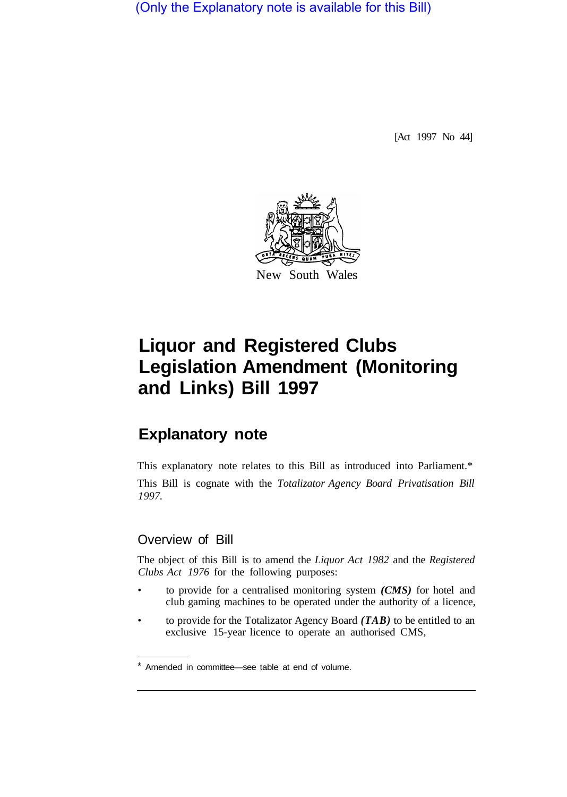(Only the Explanatory note is available for this Bill)

[Act 1997 No 44]



# **Liquor and Registered Clubs Legislation Amendment (Monitoring and Links) Bill 1997**

# **Explanatory note**

This explanatory note relates to this Bill as introduced into Parliament.\* This Bill is cognate with the *Totalizator Agency Board Privatisation Bill 1997.* 

## Overview of Bill

The object of this Bill is to amend the *Liquor Act 1982* and the *Registered Clubs Act 1976* for the following purposes:

- to provide for a centralised monitoring system *(CMS)* for hotel and club gaming machines to be operated under the authority of a licence,
- to provide for the Totalizator Agency Board *(TAB)* to be entitled to an exclusive 15-year licence to operate an authorised CMS,

<sup>\*</sup> Amended in committee—see table at end of volume.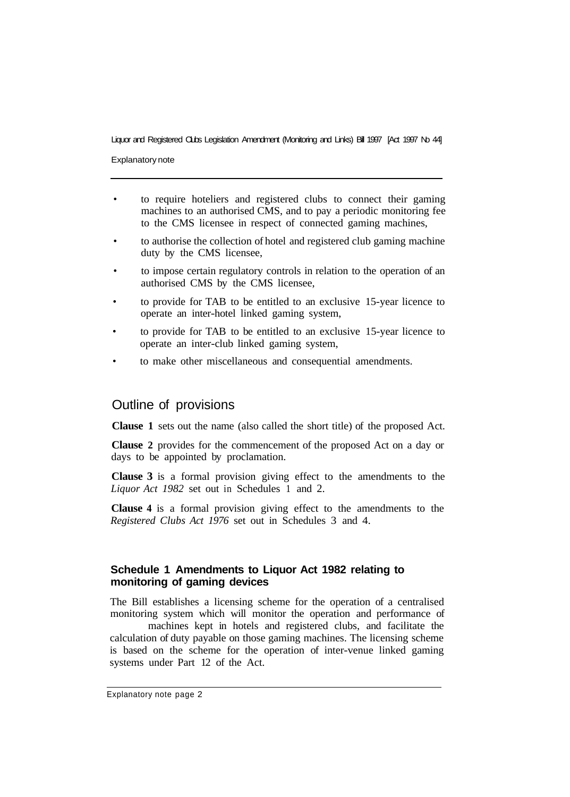#### Liquor and Registered Clubs Legislation Amendment (Monitoring and Links) Bill 1997 [Act 1997 No 44]

Explanatory note

- to require hoteliers and registered clubs to connect their gaming machines to an authorised CMS, and to pay a periodic monitoring fee to the CMS licensee in respect of connected gaming machines,
- to authorise the collection of hotel and registered club gaming machine duty by the CMS licensee,
- to impose certain regulatory controls in relation to the operation of an authorised CMS by the CMS licensee,
- to provide for TAB to be entitled to an exclusive 15-year licence to operate an inter-hotel linked gaming system,
- to provide for TAB to be entitled to an exclusive 15-year licence to operate an inter-club linked gaming system,
- to make other miscellaneous and consequential amendments.

#### Outline of provisions

**Clause 1** sets out the name (also called the short title) of the proposed Act.

**Clause 2** provides for the commencement of the proposed Act on a day or days to be appointed by proclamation.

**Clause 3** is a formal provision giving effect to the amendments to the *Liquor Act 1982* set out in Schedules 1 and 2.

**Clause 4** is a formal provision giving effect to the amendments to the *Registered Clubs Act 1976* set out in Schedules 3 and 4.

#### **Schedule 1 Amendments to Liquor Act 1982 relating to monitoring of gaming devices**

The Bill establishes a licensing scheme for the operation of a centralised monitoring system which will monitor the operation and performance of

machines kept in hotels and registered clubs, and facilitate the calculation of duty payable on those gaming machines. The licensing scheme is based on the scheme for the operation of inter-venue linked gaming systems under Part 12 of the Act.

Explanatory note page 2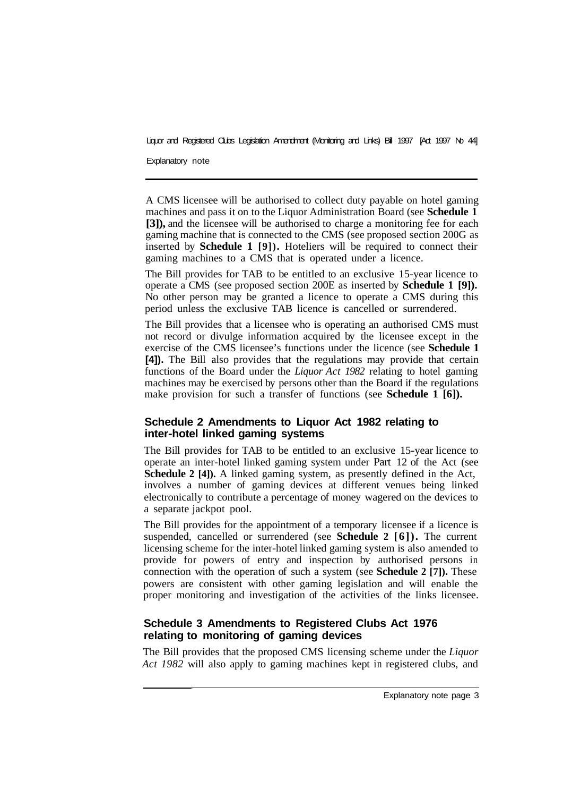Liquor and Registered Clubs Legislation Amendment (Monitoring and Links) Bill 1997 [Act 1997 No 44]

Explanatory note

A CMS licensee will be authorised to collect duty payable on hotel gaming machines and pass it on to the Liquor Administration Board (see **Schedule 1 [3]),** and the licensee will be authorised to charge a monitoring fee for each gaming machine that is connected to the CMS (see proposed section 200G as inserted by **Schedule 1 [9]).** Hoteliers will be required to connect their gaming machines to a CMS that is operated under a licence.

The Bill provides for TAB to be entitled to an exclusive 15-year licence to operate a CMS (see proposed section 200E as inserted by **Schedule 1 [9]).**  No other person may be granted a licence to operate a CMS during this period unless the exclusive TAB licence is cancelled or surrendered.

The Bill provides that a licensee who is operating an authorised CMS must not record or divulge information acquired by the licensee except in the exercise of the CMS licensee's functions under the licence (see **Schedule 1 [4]).** The Bill also provides that the regulations may provide that certain functions of the Board under the *Liquor Act 1982* relating to hotel gaming machines may be exercised by persons other than the Board if the regulations make provision for such a transfer of functions (see **Schedule 1 [6]).** 

#### **Schedule 2 Amendments to Liquor Act 1982 relating to inter-hotel linked gaming systems**

The Bill provides for TAB to be entitled to an exclusive 15-year licence to operate an inter-hotel linked gaming system under Part 12 of the Act (see **Schedule 2 [4]).** A linked gaming system, as presently defined in the Act, involves a number of gaming devices at different venues being linked electronically to contribute a percentage of money wagered on the devices to a separate jackpot pool.

The Bill provides for the appointment of a temporary licensee if a licence is suspended, cancelled or surrendered (see **Schedule 2 [6]).** The current licensing scheme for the inter-hotel linked gaming system is also amended to provide for powers of entry and inspection by authorised persons in connection with the operation of such a system (see **Schedule 2 [7]).** These powers are consistent with other gaming legislation and will enable the proper monitoring and investigation of the activities of the links licensee.

### **Schedule 3 Amendments to Registered Clubs Act 1976 relating to monitoring of gaming devices**

The Bill provides that the proposed CMS licensing scheme under the *Liquor Act 1982* will also apply to gaming machines kept in registered clubs, and